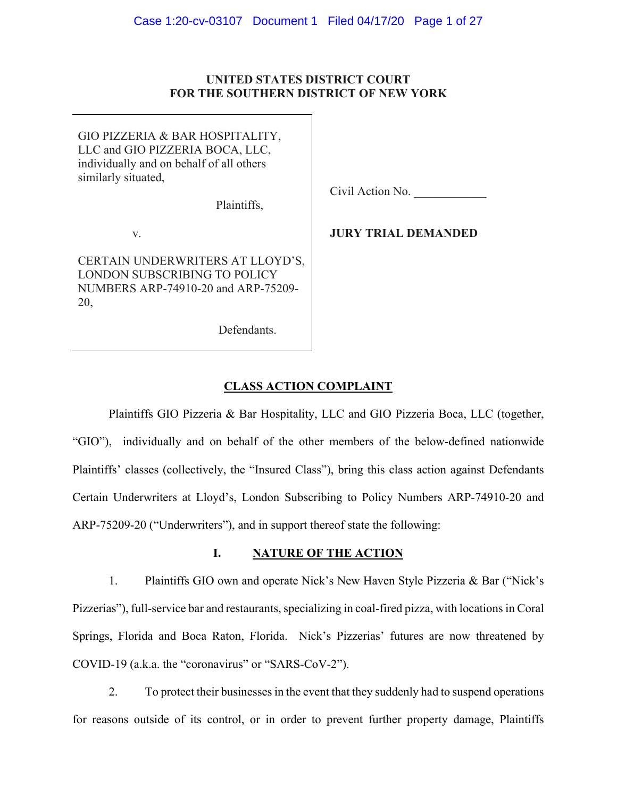## **UNITED STATES DISTRICT COURT FOR THE SOUTHERN DISTRICT OF NEW YORK**

GIO PIZZERIA & BAR HOSPITALITY, LLC and GIO PIZZERIA BOCA, LLC, individually and on behalf of all others similarly situated,

Plaintiffs,

v.

CERTAIN UNDERWRITERS AT LLOYD'S, LONDON SUBSCRIBING TO POLICY NUMBERS ARP-74910-20 and ARP-75209- 20,

Civil Action No.

**JURY TRIAL DEMANDED** 

# Defendants.

# **CLASS ACTION COMPLAINT**

Plaintiffs GIO Pizzeria & Bar Hospitality, LLC and GIO Pizzeria Boca, LLC (together, "GIO"), individually and on behalf of the other members of the below-defined nationwide Plaintiffs' classes (collectively, the "Insured Class"), bring this class action against Defendants Certain Underwriters at Lloyd's, London Subscribing to Policy Numbers ARP-74910-20 and ARP-75209-20 ("Underwriters"), and in support thereof state the following:

# **I. NATURE OF THE ACTION**

1. Plaintiffs GIO own and operate Nick's New Haven Style Pizzeria & Bar ("Nick's Pizzerias"), full-service bar and restaurants, specializing in coal-fired pizza, with locations in Coral Springs, Florida and Boca Raton, Florida. Nick's Pizzerias' futures are now threatened by COVID-19 (a.k.a. the "coronavirus" or "SARS-CoV-2").

2. To protect their businesses in the event that they suddenly had to suspend operations for reasons outside of its control, or in order to prevent further property damage, Plaintiffs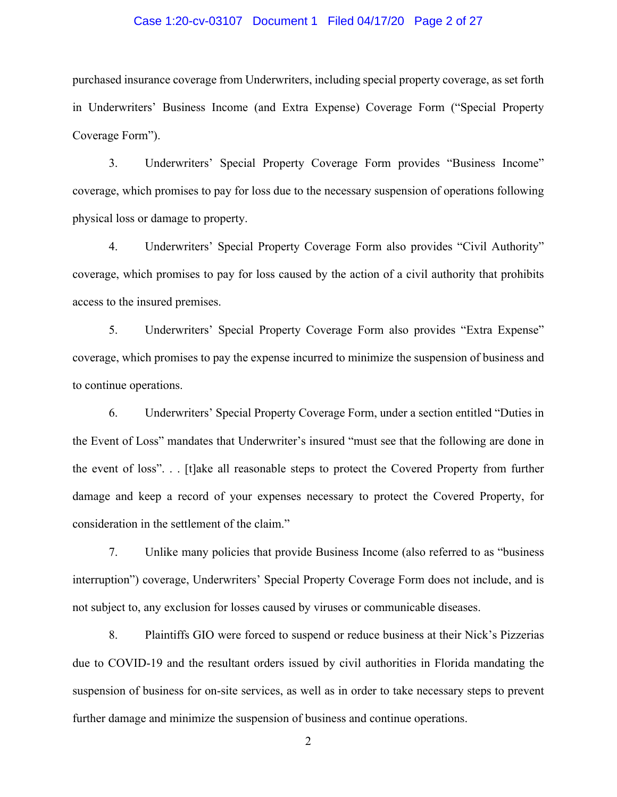## Case 1:20-cv-03107 Document 1 Filed 04/17/20 Page 2 of 27

purchased insurance coverage from Underwriters, including special property coverage, as set forth in Underwriters' Business Income (and Extra Expense) Coverage Form ("Special Property Coverage Form").

3. Underwriters' Special Property Coverage Form provides "Business Income" coverage, which promises to pay for loss due to the necessary suspension of operations following physical loss or damage to property.

4. Underwriters' Special Property Coverage Form also provides "Civil Authority" coverage, which promises to pay for loss caused by the action of a civil authority that prohibits access to the insured premises.

5. Underwriters' Special Property Coverage Form also provides "Extra Expense" coverage, which promises to pay the expense incurred to minimize the suspension of business and to continue operations.

6. Underwriters' Special Property Coverage Form, under a section entitled "Duties in the Event of Loss" mandates that Underwriter's insured "must see that the following are done in the event of loss". . . [t]ake all reasonable steps to protect the Covered Property from further damage and keep a record of your expenses necessary to protect the Covered Property, for consideration in the settlement of the claim."

7. Unlike many policies that provide Business Income (also referred to as "business interruption") coverage, Underwriters' Special Property Coverage Form does not include, and is not subject to, any exclusion for losses caused by viruses or communicable diseases.

8. Plaintiffs GIO were forced to suspend or reduce business at their Nick's Pizzerias due to COVID-19 and the resultant orders issued by civil authorities in Florida mandating the suspension of business for on-site services, as well as in order to take necessary steps to prevent further damage and minimize the suspension of business and continue operations.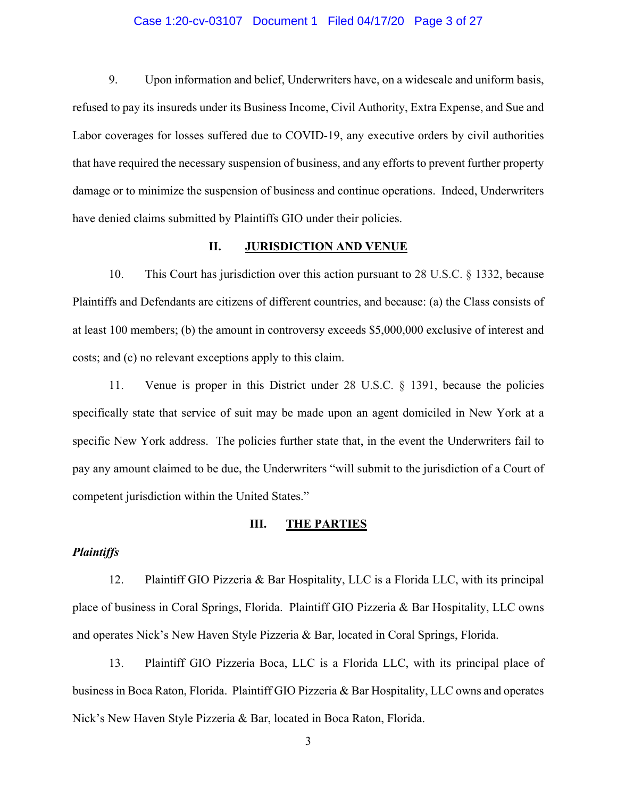## Case 1:20-cv-03107 Document 1 Filed 04/17/20 Page 3 of 27

9. Upon information and belief, Underwriters have, on a widescale and uniform basis, refused to pay its insureds under its Business Income, Civil Authority, Extra Expense, and Sue and Labor coverages for losses suffered due to COVID-19, any executive orders by civil authorities that have required the necessary suspension of business, and any efforts to prevent further property damage or to minimize the suspension of business and continue operations. Indeed, Underwriters have denied claims submitted by Plaintiffs GIO under their policies.

## **II. JURISDICTION AND VENUE**

10. This Court has jurisdiction over this action pursuant to 28 U.S.C. § 1332, because Plaintiffs and Defendants are citizens of different countries, and because: (a) the Class consists of at least 100 members; (b) the amount in controversy exceeds \$5,000,000 exclusive of interest and costs; and (c) no relevant exceptions apply to this claim.

11. Venue is proper in this District under 28 U.S.C. § 1391, because the policies specifically state that service of suit may be made upon an agent domiciled in New York at a specific New York address. The policies further state that, in the event the Underwriters fail to pay any amount claimed to be due, the Underwriters "will submit to the jurisdiction of a Court of competent jurisdiction within the United States."

#### **III. THE PARTIES**

## *Plaintiffs*

12. Plaintiff GIO Pizzeria & Bar Hospitality, LLC is a Florida LLC, with its principal place of business in Coral Springs, Florida. Plaintiff GIO Pizzeria & Bar Hospitality, LLC owns and operates Nick's New Haven Style Pizzeria & Bar, located in Coral Springs, Florida.

13. Plaintiff GIO Pizzeria Boca, LLC is a Florida LLC, with its principal place of business in Boca Raton, Florida. Plaintiff GIO Pizzeria & Bar Hospitality, LLC owns and operates Nick's New Haven Style Pizzeria & Bar, located in Boca Raton, Florida.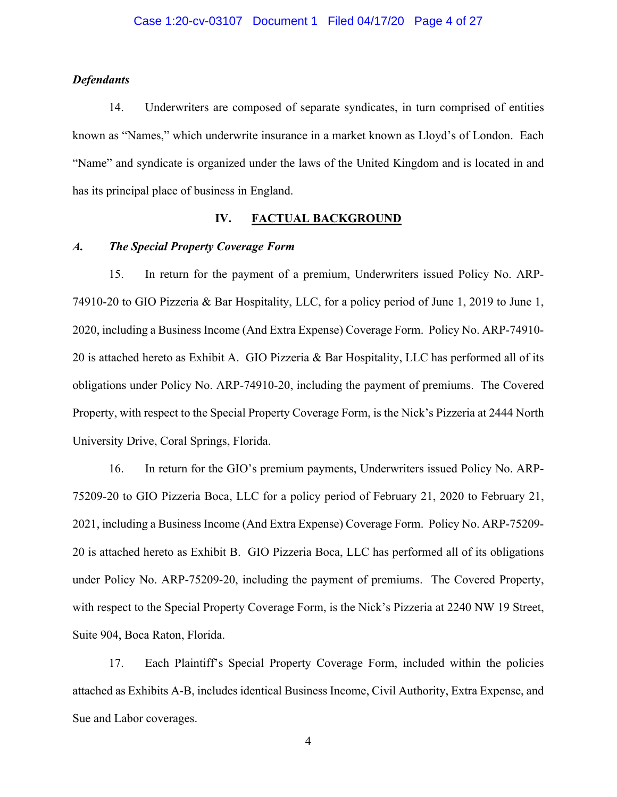## *Defendants*

14. Underwriters are composed of separate syndicates, in turn comprised of entities known as "Names," which underwrite insurance in a market known as Lloyd's of London. Each "Name" and syndicate is organized under the laws of the United Kingdom and is located in and has its principal place of business in England.

## **IV. FACTUAL BACKGROUND**

## *A. The Special Property Coverage Form*

15. In return for the payment of a premium, Underwriters issued Policy No. ARP-74910-20 to GIO Pizzeria & Bar Hospitality, LLC, for a policy period of June 1, 2019 to June 1, 2020, including a Business Income (And Extra Expense) Coverage Form. Policy No. ARP-74910- 20 is attached hereto as Exhibit A. GIO Pizzeria & Bar Hospitality, LLC has performed all of its obligations under Policy No. ARP-74910-20, including the payment of premiums. The Covered Property, with respect to the Special Property Coverage Form, is the Nick's Pizzeria at 2444 North University Drive, Coral Springs, Florida.

16. In return for the GIO's premium payments, Underwriters issued Policy No. ARP-75209-20 to GIO Pizzeria Boca, LLC for a policy period of February 21, 2020 to February 21, 2021, including a Business Income (And Extra Expense) Coverage Form. Policy No. ARP-75209- 20 is attached hereto as Exhibit B. GIO Pizzeria Boca, LLC has performed all of its obligations under Policy No. ARP-75209-20, including the payment of premiums. The Covered Property, with respect to the Special Property Coverage Form, is the Nick's Pizzeria at 2240 NW 19 Street, Suite 904, Boca Raton, Florida.

17. Each Plaintiff's Special Property Coverage Form, included within the policies attached as Exhibits A-B, includes identical Business Income, Civil Authority, Extra Expense, and Sue and Labor coverages.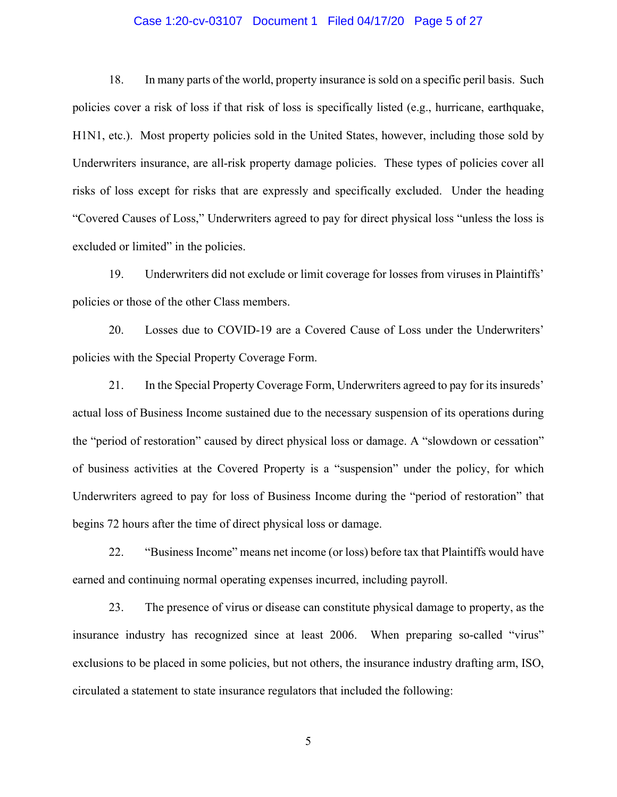## Case 1:20-cv-03107 Document 1 Filed 04/17/20 Page 5 of 27

18. In many parts of the world, property insurance is sold on a specific peril basis. Such policies cover a risk of loss if that risk of loss is specifically listed (e.g., hurricane, earthquake, H1N1, etc.). Most property policies sold in the United States, however, including those sold by Underwriters insurance, are all-risk property damage policies. These types of policies cover all risks of loss except for risks that are expressly and specifically excluded. Under the heading "Covered Causes of Loss," Underwriters agreed to pay for direct physical loss "unless the loss is excluded or limited" in the policies.

19. Underwriters did not exclude or limit coverage for losses from viruses in Plaintiffs' policies or those of the other Class members.

20. Losses due to COVID-19 are a Covered Cause of Loss under the Underwriters' policies with the Special Property Coverage Form.

21. In the Special Property Coverage Form, Underwriters agreed to pay for its insureds' actual loss of Business Income sustained due to the necessary suspension of its operations during the "period of restoration" caused by direct physical loss or damage. A "slowdown or cessation" of business activities at the Covered Property is a "suspension" under the policy, for which Underwriters agreed to pay for loss of Business Income during the "period of restoration" that begins 72 hours after the time of direct physical loss or damage.

22. "Business Income" means net income (or loss) before tax that Plaintiffs would have earned and continuing normal operating expenses incurred, including payroll.

23. The presence of virus or disease can constitute physical damage to property, as the insurance industry has recognized since at least 2006. When preparing so-called "virus" exclusions to be placed in some policies, but not others, the insurance industry drafting arm, ISO, circulated a statement to state insurance regulators that included the following: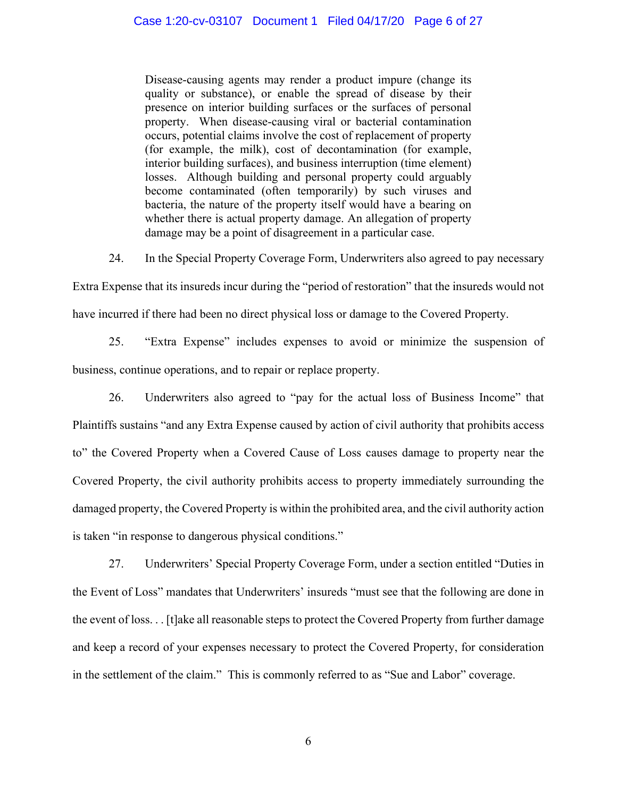Disease-causing agents may render a product impure (change its quality or substance), or enable the spread of disease by their presence on interior building surfaces or the surfaces of personal property. When disease-causing viral or bacterial contamination occurs, potential claims involve the cost of replacement of property (for example, the milk), cost of decontamination (for example, interior building surfaces), and business interruption (time element) losses. Although building and personal property could arguably become contaminated (often temporarily) by such viruses and bacteria, the nature of the property itself would have a bearing on whether there is actual property damage. An allegation of property damage may be a point of disagreement in a particular case.

24. In the Special Property Coverage Form, Underwriters also agreed to pay necessary

Extra Expense that its insureds incur during the "period of restoration" that the insureds would not have incurred if there had been no direct physical loss or damage to the Covered Property.

25. "Extra Expense" includes expenses to avoid or minimize the suspension of business, continue operations, and to repair or replace property.

26. Underwriters also agreed to "pay for the actual loss of Business Income" that Plaintiffs sustains "and any Extra Expense caused by action of civil authority that prohibits access to" the Covered Property when a Covered Cause of Loss causes damage to property near the Covered Property, the civil authority prohibits access to property immediately surrounding the damaged property, the Covered Property is within the prohibited area, and the civil authority action is taken "in response to dangerous physical conditions."

27. Underwriters' Special Property Coverage Form, under a section entitled "Duties in the Event of Loss" mandates that Underwriters' insureds "must see that the following are done in the event of loss. . . [t]ake all reasonable steps to protect the Covered Property from further damage and keep a record of your expenses necessary to protect the Covered Property, for consideration in the settlement of the claim." This is commonly referred to as "Sue and Labor" coverage.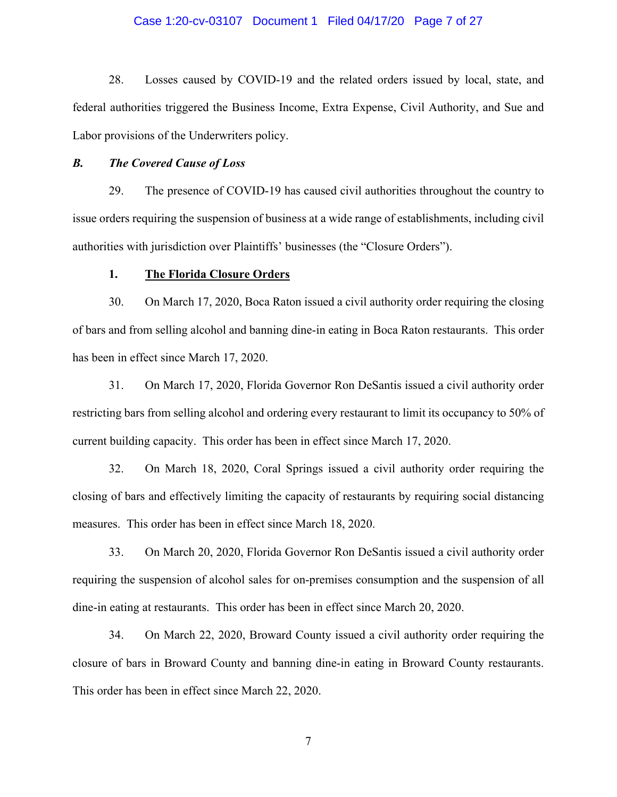## Case 1:20-cv-03107 Document 1 Filed 04/17/20 Page 7 of 27

28. Losses caused by COVID-19 and the related orders issued by local, state, and federal authorities triggered the Business Income, Extra Expense, Civil Authority, and Sue and Labor provisions of the Underwriters policy.

## *B. The Covered Cause of Loss*

29. The presence of COVID-19 has caused civil authorities throughout the country to issue orders requiring the suspension of business at a wide range of establishments, including civil authorities with jurisdiction over Plaintiffs' businesses (the "Closure Orders").

## **1. The Florida Closure Orders**

30. On March 17, 2020, Boca Raton issued a civil authority order requiring the closing of bars and from selling alcohol and banning dine-in eating in Boca Raton restaurants. This order has been in effect since March 17, 2020.

31. On March 17, 2020, Florida Governor Ron DeSantis issued a civil authority order restricting bars from selling alcohol and ordering every restaurant to limit its occupancy to 50% of current building capacity. This order has been in effect since March 17, 2020.

32. On March 18, 2020, Coral Springs issued a civil authority order requiring the closing of bars and effectively limiting the capacity of restaurants by requiring social distancing measures. This order has been in effect since March 18, 2020.

33. On March 20, 2020, Florida Governor Ron DeSantis issued a civil authority order requiring the suspension of alcohol sales for on-premises consumption and the suspension of all dine-in eating at restaurants. This order has been in effect since March 20, 2020.

34. On March 22, 2020, Broward County issued a civil authority order requiring the closure of bars in Broward County and banning dine-in eating in Broward County restaurants. This order has been in effect since March 22, 2020.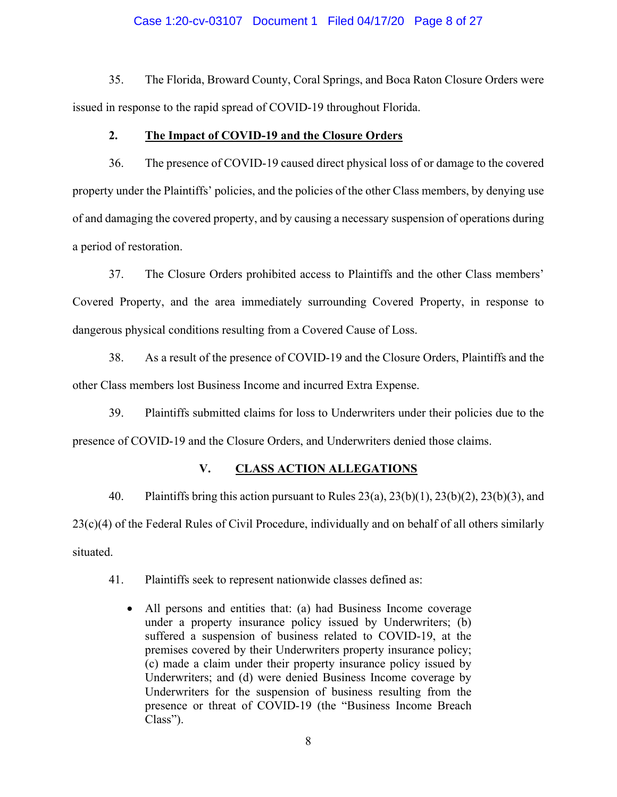## Case 1:20-cv-03107 Document 1 Filed 04/17/20 Page 8 of 27

35. The Florida, Broward County, Coral Springs, and Boca Raton Closure Orders were issued in response to the rapid spread of COVID-19 throughout Florida.

## **2. The Impact of COVID-19 and the Closure Orders**

36. The presence of COVID-19 caused direct physical loss of or damage to the covered property under the Plaintiffs' policies, and the policies of the other Class members, by denying use of and damaging the covered property, and by causing a necessary suspension of operations during a period of restoration.

37. The Closure Orders prohibited access to Plaintiffs and the other Class members' Covered Property, and the area immediately surrounding Covered Property, in response to dangerous physical conditions resulting from a Covered Cause of Loss.

38. As a result of the presence of COVID-19 and the Closure Orders, Plaintiffs and the other Class members lost Business Income and incurred Extra Expense.

39. Plaintiffs submitted claims for loss to Underwriters under their policies due to the presence of COVID-19 and the Closure Orders, and Underwriters denied those claims.

## **V. CLASS ACTION ALLEGATIONS**

40. Plaintiffs bring this action pursuant to Rules  $23(a)$ ,  $23(b)(1)$ ,  $23(b)(2)$ ,  $23(b)(3)$ , and 23(c)(4) of the Federal Rules of Civil Procedure, individually and on behalf of all others similarly situated.

41. Plaintiffs seek to represent nationwide classes defined as:

• All persons and entities that: (a) had Business Income coverage under a property insurance policy issued by Underwriters; (b) suffered a suspension of business related to COVID-19, at the premises covered by their Underwriters property insurance policy; (c) made a claim under their property insurance policy issued by Underwriters; and (d) were denied Business Income coverage by Underwriters for the suspension of business resulting from the presence or threat of COVID-19 (the "Business Income Breach Class").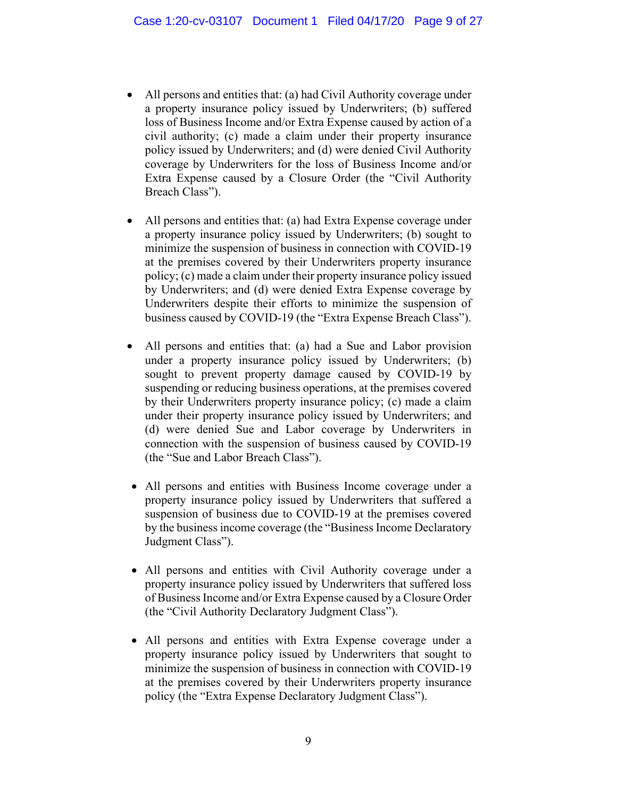- $\bullet$  All persons and entities that: (a) had Civil Authority coverage under a property insurance policy issued by Underwriters; (b) suffered loss of Business Income and/or Extra Expense caused by action of a civil authority; (c) made a claim under their property insurance policy issued by Underwriters; and (d) were denied Civil Authority coverage by Underwriters for the loss of Business Income and/or Extra Expense caused by a Closure Order (the "Civil Authority Breach Class").
- All persons and entities that: (a) had Extra Expense coverage under a property insurance policy issued by Underwriters; (b) sought to minimize the suspension of business in connection with COVID-19 at the premises covered by their Underwriters property insurance policy; (c) made a claim under their property insurance policy issued by Underwriters; and (d) were denied Extra Expense coverage by Underwriters despite their efforts to minimize the suspension of business caused by COVID-19 (the "Extra Expense Breach Class").
- All persons and entities that: (a) had a Sue and Labor provision under a property insurance policy issued by Underwriters; (b) sought to prevent property damage caused by COVID-19 by suspending or reducing business operations, at the premises covered by their Underwriters property insurance policy; (c) made a claim under their property insurance policy issued by Underwriters; and (d) were denied Sue and Labor coverage by Underwriters in connection with the suspension of business caused by COVID-19 (the "Sue and Labor Breach Class").
- All persons and entities with Business Income coverage under a property insurance policy issued by Underwriters that suffered a suspension of business due to COVID-19 at the premises covered by the business income coverage (the "Business Income Declaratory Judgment Class").
- All persons and entities with Civil Authority coverage under a property insurance policy issued by Underwriters that suffered loss of Business Income and/or Extra Expense caused by a Closure Order (the "Civil Authority Declaratory Judgment Class").
- All persons and entities with Extra Expense coverage under a property insurance policy issued by Underwriters that sought to minimize the suspension of business in connection with COVID-19 at the premises covered by their Underwriters property insurance policy (the "Extra Expense Declaratory Judgment Class").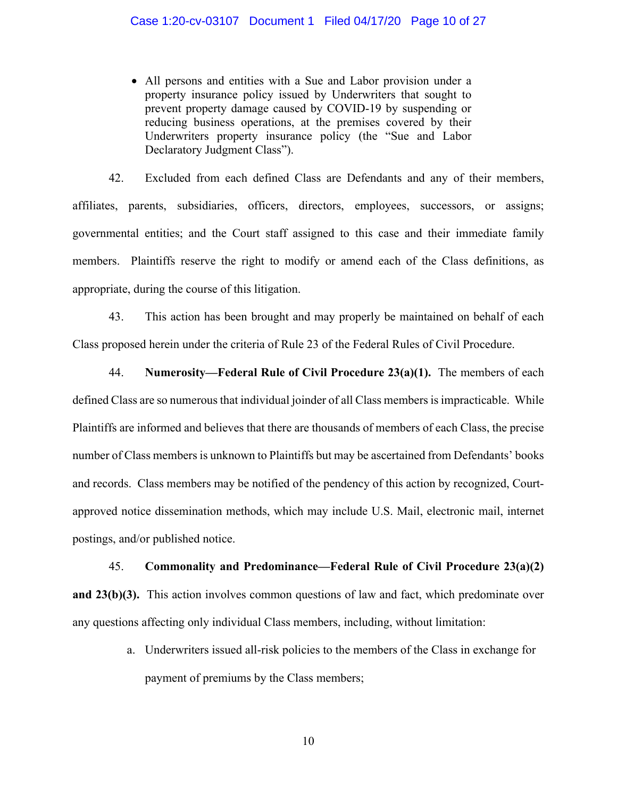• All persons and entities with a Sue and Labor provision under a property insurance policy issued by Underwriters that sought to prevent property damage caused by COVID-19 by suspending or reducing business operations, at the premises covered by their Underwriters property insurance policy (the "Sue and Labor Declaratory Judgment Class").

42. Excluded from each defined Class are Defendants and any of their members, affiliates, parents, subsidiaries, officers, directors, employees, successors, or assigns; governmental entities; and the Court staff assigned to this case and their immediate family members. Plaintiffs reserve the right to modify or amend each of the Class definitions, as appropriate, during the course of this litigation.

43. This action has been brought and may properly be maintained on behalf of each Class proposed herein under the criteria of Rule 23 of the Federal Rules of Civil Procedure.

44. **Numerosity—Federal Rule of Civil Procedure 23(a)(1).** The members of each defined Class are so numerous that individual joinder of all Class members is impracticable. While Plaintiffs are informed and believes that there are thousands of members of each Class, the precise number of Class members is unknown to Plaintiffs but may be ascertained from Defendants' books and records. Class members may be notified of the pendency of this action by recognized, Courtapproved notice dissemination methods, which may include U.S. Mail, electronic mail, internet postings, and/or published notice.

## 45. **Commonality and Predominance—Federal Rule of Civil Procedure 23(a)(2)**

**and 23(b)(3).** This action involves common questions of law and fact, which predominate over any questions affecting only individual Class members, including, without limitation:

> a. Underwriters issued all-risk policies to the members of the Class in exchange for payment of premiums by the Class members;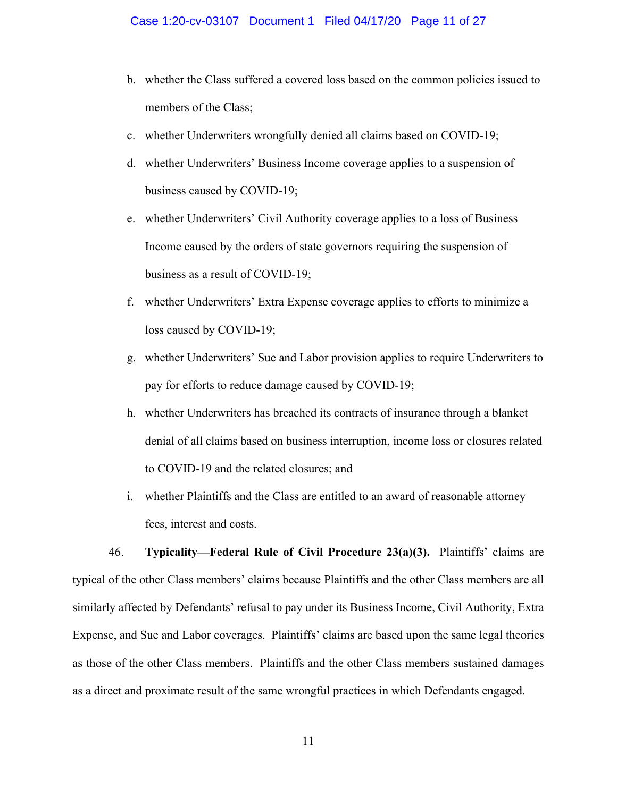- b. whether the Class suffered a covered loss based on the common policies issued to members of the Class;
- c. whether Underwriters wrongfully denied all claims based on COVID-19;
- d. whether Underwriters' Business Income coverage applies to a suspension of business caused by COVID-19;
- e. whether Underwriters' Civil Authority coverage applies to a loss of Business Income caused by the orders of state governors requiring the suspension of business as a result of COVID-19;
- f. whether Underwriters' Extra Expense coverage applies to efforts to minimize a loss caused by COVID-19;
- g. whether Underwriters' Sue and Labor provision applies to require Underwriters to pay for efforts to reduce damage caused by COVID-19;
- h. whether Underwriters has breached its contracts of insurance through a blanket denial of all claims based on business interruption, income loss or closures related to COVID-19 and the related closures; and
- i. whether Plaintiffs and the Class are entitled to an award of reasonable attorney fees, interest and costs.

46. **Typicality—Federal Rule of Civil Procedure 23(a)(3).** Plaintiffs' claims are typical of the other Class members' claims because Plaintiffs and the other Class members are all similarly affected by Defendants' refusal to pay under its Business Income, Civil Authority, Extra Expense, and Sue and Labor coverages. Plaintiffs' claims are based upon the same legal theories as those of the other Class members. Plaintiffs and the other Class members sustained damages as a direct and proximate result of the same wrongful practices in which Defendants engaged.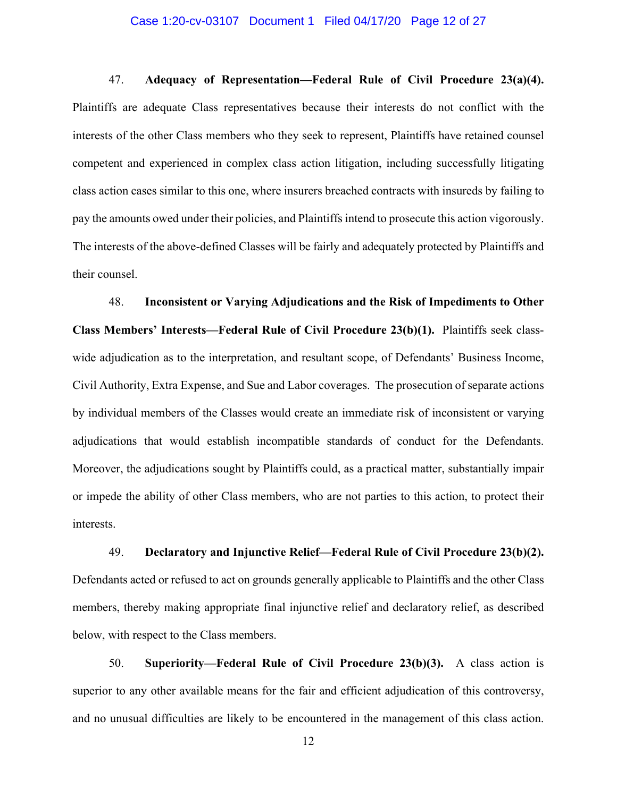#### Case 1:20-cv-03107 Document 1 Filed 04/17/20 Page 12 of 27

47. **Adequacy of Representation—Federal Rule of Civil Procedure 23(a)(4).**  Plaintiffs are adequate Class representatives because their interests do not conflict with the interests of the other Class members who they seek to represent, Plaintiffs have retained counsel competent and experienced in complex class action litigation, including successfully litigating class action cases similar to this one, where insurers breached contracts with insureds by failing to pay the amounts owed under their policies, and Plaintiffs intend to prosecute this action vigorously. The interests of the above-defined Classes will be fairly and adequately protected by Plaintiffs and their counsel.

48. **Inconsistent or Varying Adjudications and the Risk of Impediments to Other Class Members' Interests—Federal Rule of Civil Procedure 23(b)(1).** Plaintiffs seek classwide adjudication as to the interpretation, and resultant scope, of Defendants' Business Income, Civil Authority, Extra Expense, and Sue and Labor coverages. The prosecution of separate actions by individual members of the Classes would create an immediate risk of inconsistent or varying adjudications that would establish incompatible standards of conduct for the Defendants. Moreover, the adjudications sought by Plaintiffs could, as a practical matter, substantially impair or impede the ability of other Class members, who are not parties to this action, to protect their interests.

49. **Declaratory and Injunctive Relief—Federal Rule of Civil Procedure 23(b)(2).**  Defendants acted or refused to act on grounds generally applicable to Plaintiffs and the other Class members, thereby making appropriate final injunctive relief and declaratory relief, as described below, with respect to the Class members.

50. **Superiority—Federal Rule of Civil Procedure 23(b)(3).** A class action is superior to any other available means for the fair and efficient adjudication of this controversy, and no unusual difficulties are likely to be encountered in the management of this class action.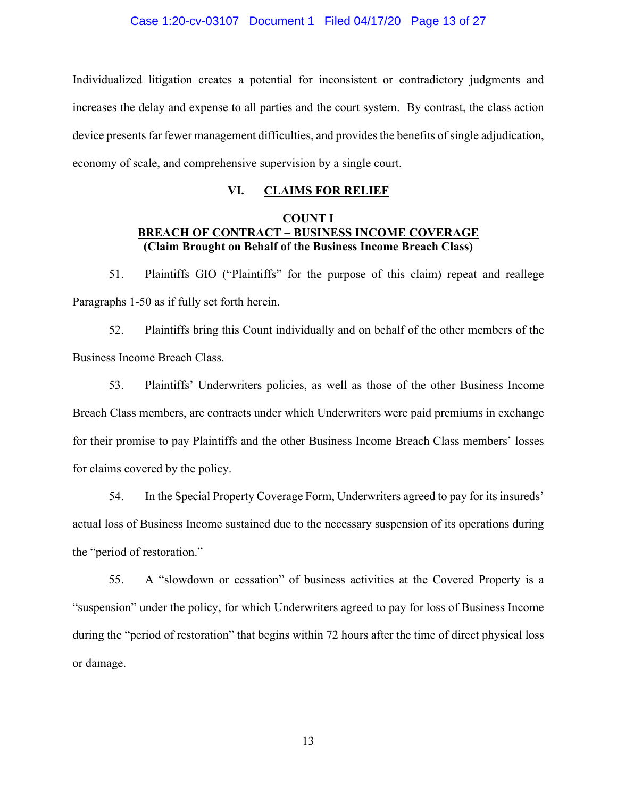Individualized litigation creates a potential for inconsistent or contradictory judgments and increases the delay and expense to all parties and the court system. By contrast, the class action device presents far fewer management difficulties, and provides the benefits of single adjudication, economy of scale, and comprehensive supervision by a single court.

## **VI. CLAIMS FOR RELIEF**

## **COUNT I BREACH OF CONTRACT – BUSINESS INCOME COVERAGE (Claim Brought on Behalf of the Business Income Breach Class)**

51. Plaintiffs GIO ("Plaintiffs" for the purpose of this claim) repeat and reallege Paragraphs 1-50 as if fully set forth herein.

52. Plaintiffs bring this Count individually and on behalf of the other members of the Business Income Breach Class.

53. Plaintiffs' Underwriters policies, as well as those of the other Business Income Breach Class members, are contracts under which Underwriters were paid premiums in exchange for their promise to pay Plaintiffs and the other Business Income Breach Class members' losses for claims covered by the policy.

54. In the Special Property Coverage Form, Underwriters agreed to pay for its insureds' actual loss of Business Income sustained due to the necessary suspension of its operations during the "period of restoration."

55. A "slowdown or cessation" of business activities at the Covered Property is a "suspension" under the policy, for which Underwriters agreed to pay for loss of Business Income during the "period of restoration" that begins within 72 hours after the time of direct physical loss or damage.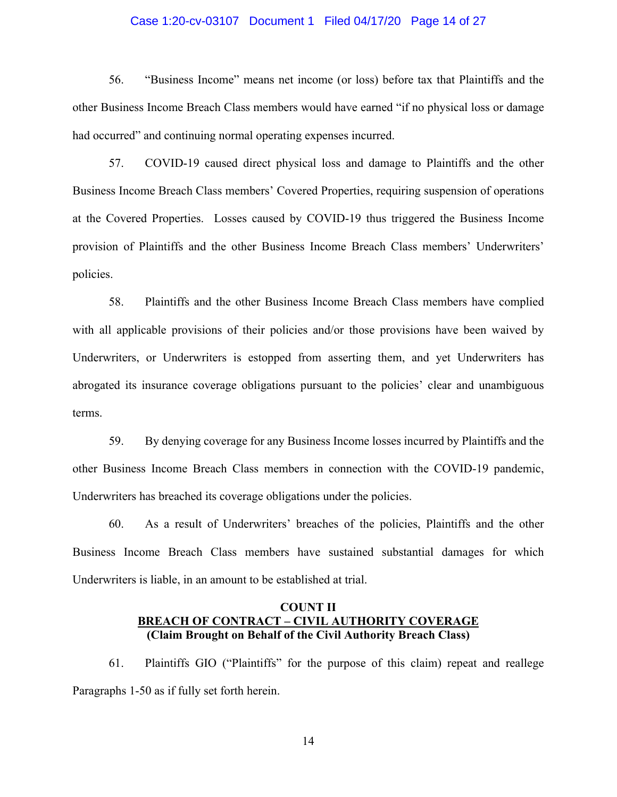## Case 1:20-cv-03107 Document 1 Filed 04/17/20 Page 14 of 27

56. "Business Income" means net income (or loss) before tax that Plaintiffs and the other Business Income Breach Class members would have earned "if no physical loss or damage had occurred" and continuing normal operating expenses incurred.

57. COVID-19 caused direct physical loss and damage to Plaintiffs and the other Business Income Breach Class members' Covered Properties, requiring suspension of operations at the Covered Properties. Losses caused by COVID-19 thus triggered the Business Income provision of Plaintiffs and the other Business Income Breach Class members' Underwriters' policies.

58. Plaintiffs and the other Business Income Breach Class members have complied with all applicable provisions of their policies and/or those provisions have been waived by Underwriters, or Underwriters is estopped from asserting them, and yet Underwriters has abrogated its insurance coverage obligations pursuant to the policies' clear and unambiguous terms.

59. By denying coverage for any Business Income losses incurred by Plaintiffs and the other Business Income Breach Class members in connection with the COVID-19 pandemic, Underwriters has breached its coverage obligations under the policies.

60. As a result of Underwriters' breaches of the policies, Plaintiffs and the other Business Income Breach Class members have sustained substantial damages for which Underwriters is liable, in an amount to be established at trial.

## **COUNT II BREACH OF CONTRACT – CIVIL AUTHORITY COVERAGE (Claim Brought on Behalf of the Civil Authority Breach Class)**

61. Plaintiffs GIO ("Plaintiffs" for the purpose of this claim) repeat and reallege Paragraphs 1-50 as if fully set forth herein.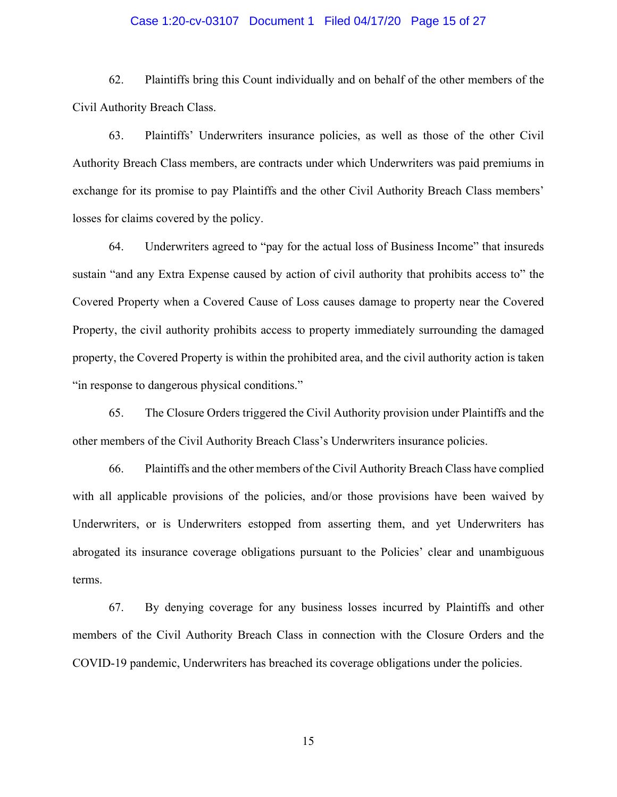## Case 1:20-cv-03107 Document 1 Filed 04/17/20 Page 15 of 27

62. Plaintiffs bring this Count individually and on behalf of the other members of the Civil Authority Breach Class.

63. Plaintiffs' Underwriters insurance policies, as well as those of the other Civil Authority Breach Class members, are contracts under which Underwriters was paid premiums in exchange for its promise to pay Plaintiffs and the other Civil Authority Breach Class members' losses for claims covered by the policy.

64. Underwriters agreed to "pay for the actual loss of Business Income" that insureds sustain "and any Extra Expense caused by action of civil authority that prohibits access to" the Covered Property when a Covered Cause of Loss causes damage to property near the Covered Property, the civil authority prohibits access to property immediately surrounding the damaged property, the Covered Property is within the prohibited area, and the civil authority action is taken "in response to dangerous physical conditions."

65. The Closure Orders triggered the Civil Authority provision under Plaintiffs and the other members of the Civil Authority Breach Class's Underwriters insurance policies.

66. Plaintiffs and the other members of the Civil Authority Breach Class have complied with all applicable provisions of the policies, and/or those provisions have been waived by Underwriters, or is Underwriters estopped from asserting them, and yet Underwriters has abrogated its insurance coverage obligations pursuant to the Policies' clear and unambiguous terms.

67. By denying coverage for any business losses incurred by Plaintiffs and other members of the Civil Authority Breach Class in connection with the Closure Orders and the COVID-19 pandemic, Underwriters has breached its coverage obligations under the policies.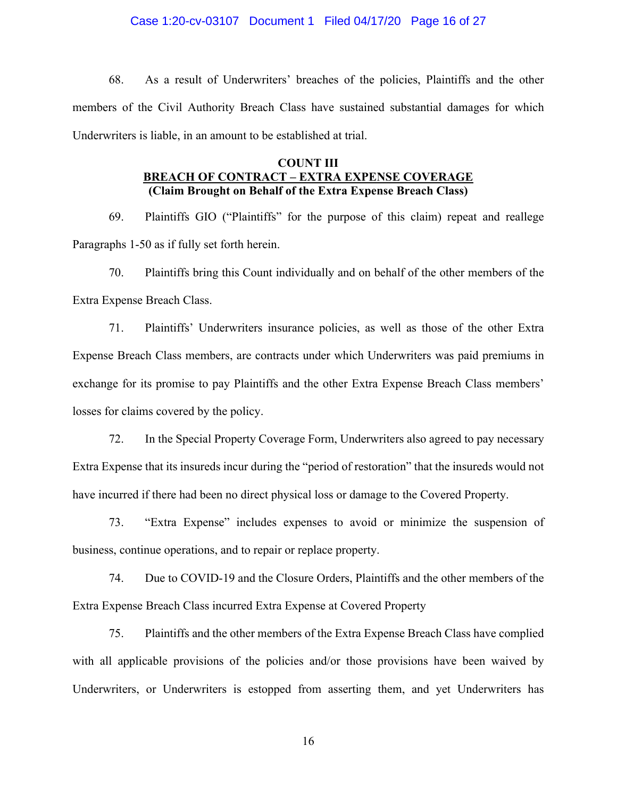## Case 1:20-cv-03107 Document 1 Filed 04/17/20 Page 16 of 27

68. As a result of Underwriters' breaches of the policies, Plaintiffs and the other members of the Civil Authority Breach Class have sustained substantial damages for which Underwriters is liable, in an amount to be established at trial.

## **COUNT III BREACH OF CONTRACT – EXTRA EXPENSE COVERAGE (Claim Brought on Behalf of the Extra Expense Breach Class)**

69. Plaintiffs GIO ("Plaintiffs" for the purpose of this claim) repeat and reallege Paragraphs 1-50 as if fully set forth herein.

70. Plaintiffs bring this Count individually and on behalf of the other members of the Extra Expense Breach Class.

71. Plaintiffs' Underwriters insurance policies, as well as those of the other Extra Expense Breach Class members, are contracts under which Underwriters was paid premiums in exchange for its promise to pay Plaintiffs and the other Extra Expense Breach Class members' losses for claims covered by the policy.

72. In the Special Property Coverage Form, Underwriters also agreed to pay necessary Extra Expense that its insureds incur during the "period of restoration" that the insureds would not have incurred if there had been no direct physical loss or damage to the Covered Property.

73. "Extra Expense" includes expenses to avoid or minimize the suspension of business, continue operations, and to repair or replace property.

74. Due to COVID-19 and the Closure Orders, Plaintiffs and the other members of the Extra Expense Breach Class incurred Extra Expense at Covered Property

75. Plaintiffs and the other members of the Extra Expense Breach Class have complied with all applicable provisions of the policies and/or those provisions have been waived by Underwriters, or Underwriters is estopped from asserting them, and yet Underwriters has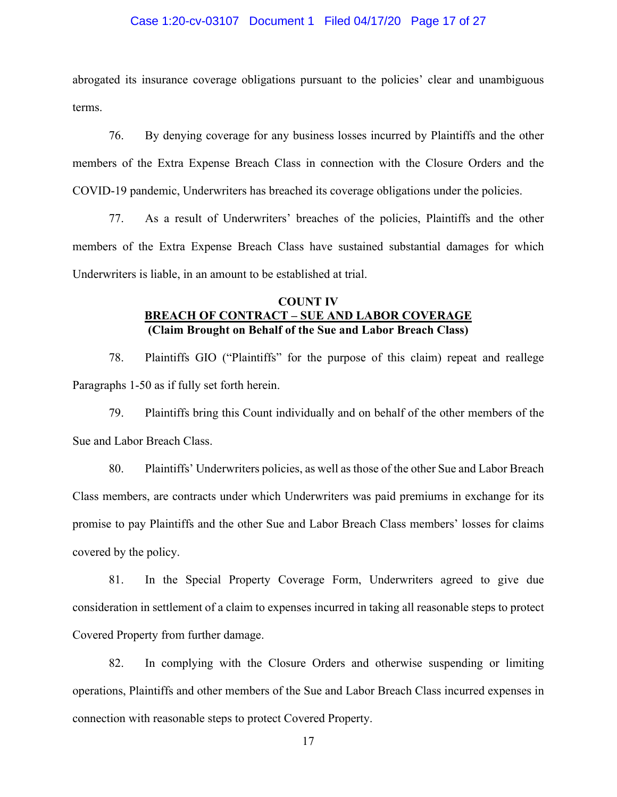## Case 1:20-cv-03107 Document 1 Filed 04/17/20 Page 17 of 27

abrogated its insurance coverage obligations pursuant to the policies' clear and unambiguous terms.

76. By denying coverage for any business losses incurred by Plaintiffs and the other members of the Extra Expense Breach Class in connection with the Closure Orders and the COVID-19 pandemic, Underwriters has breached its coverage obligations under the policies.

77. As a result of Underwriters' breaches of the policies, Plaintiffs and the other members of the Extra Expense Breach Class have sustained substantial damages for which Underwriters is liable, in an amount to be established at trial.

## **COUNT IV BREACH OF CONTRACT – SUE AND LABOR COVERAGE (Claim Brought on Behalf of the Sue and Labor Breach Class)**

78. Plaintiffs GIO ("Plaintiffs" for the purpose of this claim) repeat and reallege Paragraphs 1-50 as if fully set forth herein.

79. Plaintiffs bring this Count individually and on behalf of the other members of the Sue and Labor Breach Class.

80. Plaintiffs' Underwriters policies, as well as those of the other Sue and Labor Breach Class members, are contracts under which Underwriters was paid premiums in exchange for its promise to pay Plaintiffs and the other Sue and Labor Breach Class members' losses for claims covered by the policy.

81. In the Special Property Coverage Form, Underwriters agreed to give due consideration in settlement of a claim to expenses incurred in taking all reasonable steps to protect Covered Property from further damage.

82. In complying with the Closure Orders and otherwise suspending or limiting operations, Plaintiffs and other members of the Sue and Labor Breach Class incurred expenses in connection with reasonable steps to protect Covered Property.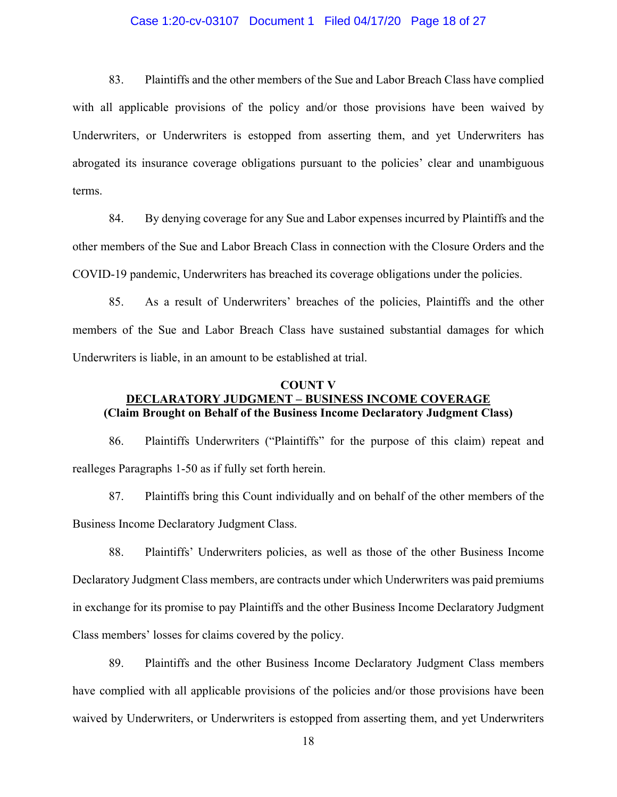## Case 1:20-cv-03107 Document 1 Filed 04/17/20 Page 18 of 27

83. Plaintiffs and the other members of the Sue and Labor Breach Class have complied with all applicable provisions of the policy and/or those provisions have been waived by Underwriters, or Underwriters is estopped from asserting them, and yet Underwriters has abrogated its insurance coverage obligations pursuant to the policies' clear and unambiguous terms.

84. By denying coverage for any Sue and Labor expenses incurred by Plaintiffs and the other members of the Sue and Labor Breach Class in connection with the Closure Orders and the COVID-19 pandemic, Underwriters has breached its coverage obligations under the policies.

85. As a result of Underwriters' breaches of the policies, Plaintiffs and the other members of the Sue and Labor Breach Class have sustained substantial damages for which Underwriters is liable, in an amount to be established at trial.

## **COUNT V DECLARATORY JUDGMENT – BUSINESS INCOME COVERAGE (Claim Brought on Behalf of the Business Income Declaratory Judgment Class)**

86. Plaintiffs Underwriters ("Plaintiffs" for the purpose of this claim) repeat and realleges Paragraphs 1-50 as if fully set forth herein.

87. Plaintiffs bring this Count individually and on behalf of the other members of the Business Income Declaratory Judgment Class.

88. Plaintiffs' Underwriters policies, as well as those of the other Business Income Declaratory Judgment Class members, are contracts under which Underwriters was paid premiums in exchange for its promise to pay Plaintiffs and the other Business Income Declaratory Judgment Class members' losses for claims covered by the policy.

89. Plaintiffs and the other Business Income Declaratory Judgment Class members have complied with all applicable provisions of the policies and/or those provisions have been waived by Underwriters, or Underwriters is estopped from asserting them, and yet Underwriters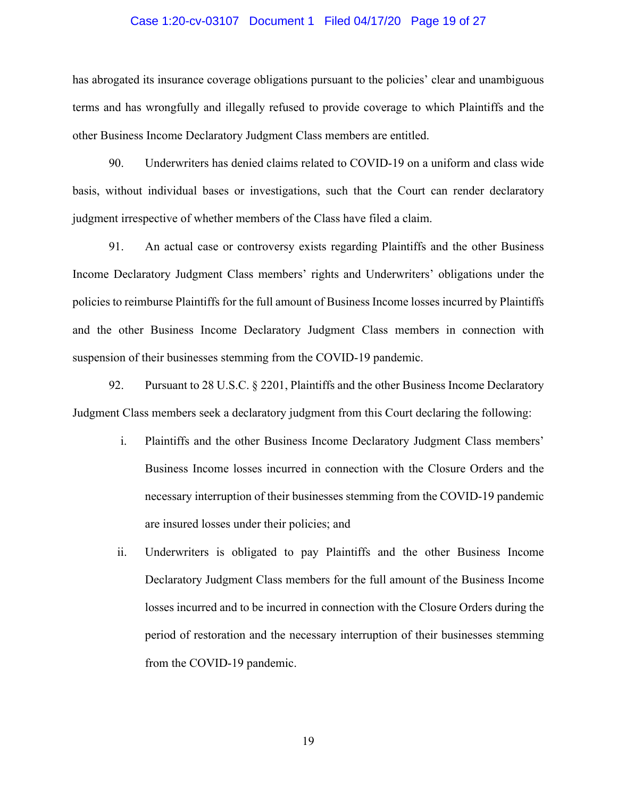## Case 1:20-cv-03107 Document 1 Filed 04/17/20 Page 19 of 27

has abrogated its insurance coverage obligations pursuant to the policies' clear and unambiguous terms and has wrongfully and illegally refused to provide coverage to which Plaintiffs and the other Business Income Declaratory Judgment Class members are entitled.

90. Underwriters has denied claims related to COVID-19 on a uniform and class wide basis, without individual bases or investigations, such that the Court can render declaratory judgment irrespective of whether members of the Class have filed a claim.

91. An actual case or controversy exists regarding Plaintiffs and the other Business Income Declaratory Judgment Class members' rights and Underwriters' obligations under the policies to reimburse Plaintiffs for the full amount of Business Income losses incurred by Plaintiffs and the other Business Income Declaratory Judgment Class members in connection with suspension of their businesses stemming from the COVID-19 pandemic.

92. Pursuant to 28 U.S.C. § 2201, Plaintiffs and the other Business Income Declaratory Judgment Class members seek a declaratory judgment from this Court declaring the following:

- i. Plaintiffs and the other Business Income Declaratory Judgment Class members' Business Income losses incurred in connection with the Closure Orders and the necessary interruption of their businesses stemming from the COVID-19 pandemic are insured losses under their policies; and
- ii. Underwriters is obligated to pay Plaintiffs and the other Business Income Declaratory Judgment Class members for the full amount of the Business Income losses incurred and to be incurred in connection with the Closure Orders during the period of restoration and the necessary interruption of their businesses stemming from the COVID-19 pandemic.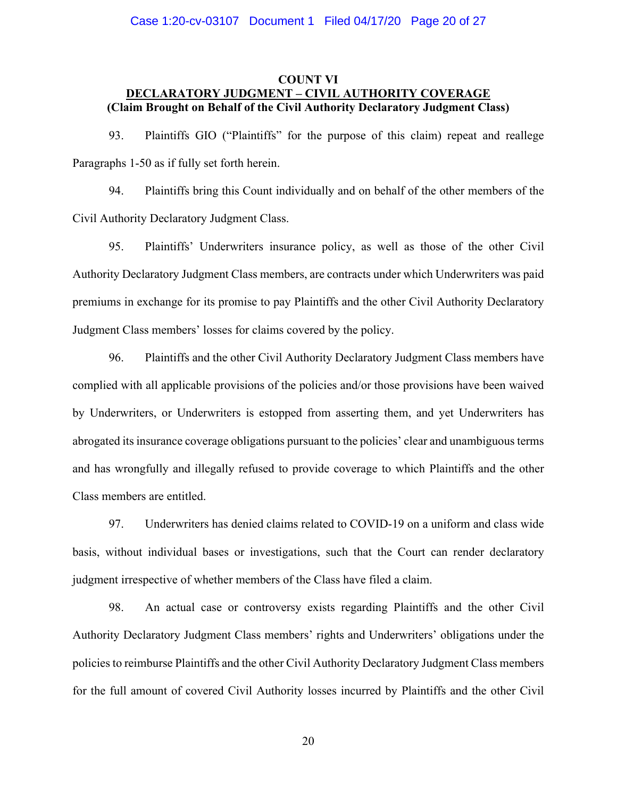## Case 1:20-cv-03107 Document 1 Filed 04/17/20 Page 20 of 27

## **COUNT VI DECLARATORY JUDGMENT – CIVIL AUTHORITY COVERAGE (Claim Brought on Behalf of the Civil Authority Declaratory Judgment Class)**

93. Plaintiffs GIO ("Plaintiffs" for the purpose of this claim) repeat and reallege Paragraphs 1-50 as if fully set forth herein.

94. Plaintiffs bring this Count individually and on behalf of the other members of the Civil Authority Declaratory Judgment Class.

95. Plaintiffs' Underwriters insurance policy, as well as those of the other Civil Authority Declaratory Judgment Class members, are contracts under which Underwriters was paid premiums in exchange for its promise to pay Plaintiffs and the other Civil Authority Declaratory Judgment Class members' losses for claims covered by the policy.

96. Plaintiffs and the other Civil Authority Declaratory Judgment Class members have complied with all applicable provisions of the policies and/or those provisions have been waived by Underwriters, or Underwriters is estopped from asserting them, and yet Underwriters has abrogated its insurance coverage obligations pursuant to the policies' clear and unambiguous terms and has wrongfully and illegally refused to provide coverage to which Plaintiffs and the other Class members are entitled.

97. Underwriters has denied claims related to COVID-19 on a uniform and class wide basis, without individual bases or investigations, such that the Court can render declaratory judgment irrespective of whether members of the Class have filed a claim.

98. An actual case or controversy exists regarding Plaintiffs and the other Civil Authority Declaratory Judgment Class members' rights and Underwriters' obligations under the policies to reimburse Plaintiffs and the other Civil Authority Declaratory Judgment Class members for the full amount of covered Civil Authority losses incurred by Plaintiffs and the other Civil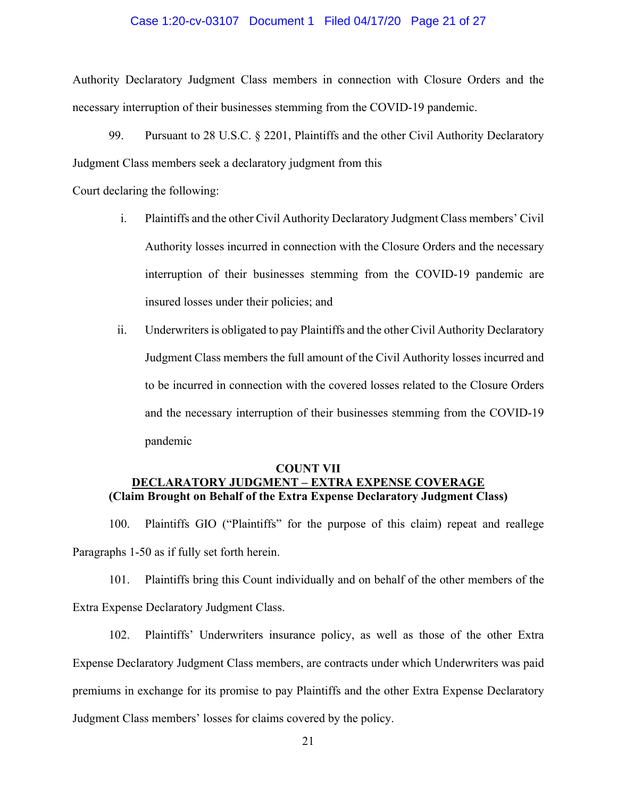## Case 1:20-cv-03107 Document 1 Filed 04/17/20 Page 21 of 27

Authority Declaratory Judgment Class members in connection with Closure Orders and the necessary interruption of their businesses stemming from the COVID-19 pandemic.

99. Pursuant to 28 U.S.C. § 2201, Plaintiffs and the other Civil Authority Declaratory Judgment Class members seek a declaratory judgment from this

Court declaring the following:

- i. Plaintiffs and the other Civil Authority Declaratory Judgment Class members' Civil Authority losses incurred in connection with the Closure Orders and the necessary interruption of their businesses stemming from the COVID-19 pandemic are insured losses under their policies; and
- ii. Underwriters is obligated to pay Plaintiffs and the other Civil Authority Declaratory Judgment Class members the full amount of the Civil Authority losses incurred and to be incurred in connection with the covered losses related to the Closure Orders and the necessary interruption of their businesses stemming from the COVID-19 pandemic

## **COUNT VII DECLARATORY JUDGMENT – EXTRA EXPENSE COVERAGE (Claim Brought on Behalf of the Extra Expense Declaratory Judgment Class)**

100. Plaintiffs GIO ("Plaintiffs" for the purpose of this claim) repeat and reallege Paragraphs 1-50 as if fully set forth herein.

101. Plaintiffs bring this Count individually and on behalf of the other members of the Extra Expense Declaratory Judgment Class.

102. Plaintiffs' Underwriters insurance policy, as well as those of the other Extra Expense Declaratory Judgment Class members, are contracts under which Underwriters was paid premiums in exchange for its promise to pay Plaintiffs and the other Extra Expense Declaratory Judgment Class members' losses for claims covered by the policy.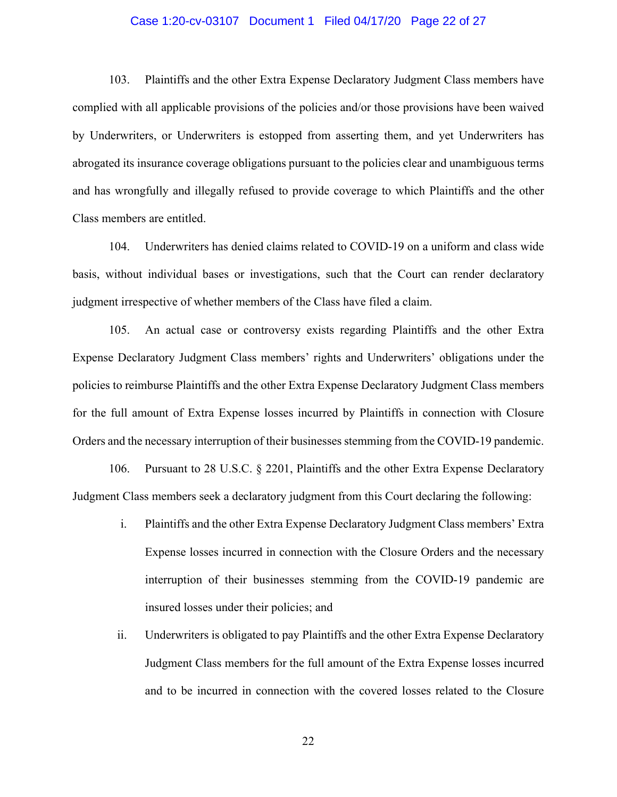## Case 1:20-cv-03107 Document 1 Filed 04/17/20 Page 22 of 27

103. Plaintiffs and the other Extra Expense Declaratory Judgment Class members have complied with all applicable provisions of the policies and/or those provisions have been waived by Underwriters, or Underwriters is estopped from asserting them, and yet Underwriters has abrogated its insurance coverage obligations pursuant to the policies clear and unambiguous terms and has wrongfully and illegally refused to provide coverage to which Plaintiffs and the other Class members are entitled.

104. Underwriters has denied claims related to COVID-19 on a uniform and class wide basis, without individual bases or investigations, such that the Court can render declaratory judgment irrespective of whether members of the Class have filed a claim.

105. An actual case or controversy exists regarding Plaintiffs and the other Extra Expense Declaratory Judgment Class members' rights and Underwriters' obligations under the policies to reimburse Plaintiffs and the other Extra Expense Declaratory Judgment Class members for the full amount of Extra Expense losses incurred by Plaintiffs in connection with Closure Orders and the necessary interruption of their businesses stemming from the COVID-19 pandemic.

106. Pursuant to 28 U.S.C. § 2201, Plaintiffs and the other Extra Expense Declaratory Judgment Class members seek a declaratory judgment from this Court declaring the following:

- i. Plaintiffs and the other Extra Expense Declaratory Judgment Class members' Extra Expense losses incurred in connection with the Closure Orders and the necessary interruption of their businesses stemming from the COVID-19 pandemic are insured losses under their policies; and
- ii. Underwriters is obligated to pay Plaintiffs and the other Extra Expense Declaratory Judgment Class members for the full amount of the Extra Expense losses incurred and to be incurred in connection with the covered losses related to the Closure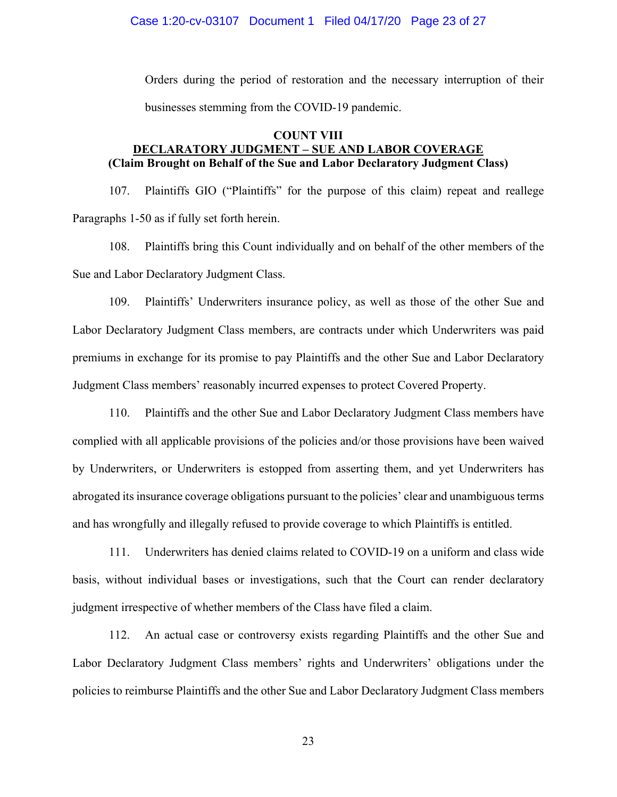Orders during the period of restoration and the necessary interruption of their businesses stemming from the COVID-19 pandemic.

## **COUNT VIII**

# **DECLARATORY JUDGMENT – SUE AND LABOR COVERAGE (Claim Brought on Behalf of the Sue and Labor Declaratory Judgment Class)**

107. Plaintiffs GIO ("Plaintiffs" for the purpose of this claim) repeat and reallege Paragraphs 1-50 as if fully set forth herein.

108. Plaintiffs bring this Count individually and on behalf of the other members of the Sue and Labor Declaratory Judgment Class.

109. Plaintiffs' Underwriters insurance policy, as well as those of the other Sue and Labor Declaratory Judgment Class members, are contracts under which Underwriters was paid premiums in exchange for its promise to pay Plaintiffs and the other Sue and Labor Declaratory Judgment Class members' reasonably incurred expenses to protect Covered Property.

110. Plaintiffs and the other Sue and Labor Declaratory Judgment Class members have complied with all applicable provisions of the policies and/or those provisions have been waived by Underwriters, or Underwriters is estopped from asserting them, and yet Underwriters has abrogated its insurance coverage obligations pursuant to the policies' clear and unambiguous terms and has wrongfully and illegally refused to provide coverage to which Plaintiffs is entitled.

111. Underwriters has denied claims related to COVID-19 on a uniform and class wide basis, without individual bases or investigations, such that the Court can render declaratory judgment irrespective of whether members of the Class have filed a claim.

112. An actual case or controversy exists regarding Plaintiffs and the other Sue and Labor Declaratory Judgment Class members' rights and Underwriters' obligations under the policies to reimburse Plaintiffs and the other Sue and Labor Declaratory Judgment Class members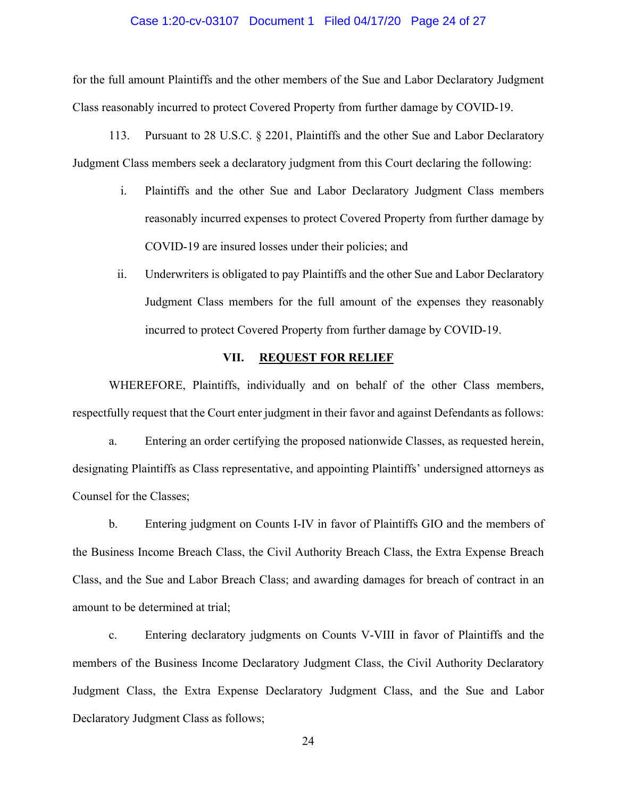## Case 1:20-cv-03107 Document 1 Filed 04/17/20 Page 24 of 27

for the full amount Plaintiffs and the other members of the Sue and Labor Declaratory Judgment Class reasonably incurred to protect Covered Property from further damage by COVID-19.

113. Pursuant to 28 U.S.C. § 2201, Plaintiffs and the other Sue and Labor Declaratory Judgment Class members seek a declaratory judgment from this Court declaring the following:

- i. Plaintiffs and the other Sue and Labor Declaratory Judgment Class members reasonably incurred expenses to protect Covered Property from further damage by COVID-19 are insured losses under their policies; and
- ii. Underwriters is obligated to pay Plaintiffs and the other Sue and Labor Declaratory Judgment Class members for the full amount of the expenses they reasonably incurred to protect Covered Property from further damage by COVID-19.

## **VII. REQUEST FOR RELIEF**

WHEREFORE, Plaintiffs, individually and on behalf of the other Class members, respectfully request that the Court enter judgment in their favor and against Defendants as follows:

a. Entering an order certifying the proposed nationwide Classes, as requested herein, designating Plaintiffs as Class representative, and appointing Plaintiffs' undersigned attorneys as Counsel for the Classes;

b. Entering judgment on Counts I-IV in favor of Plaintiffs GIO and the members of the Business Income Breach Class, the Civil Authority Breach Class, the Extra Expense Breach Class, and the Sue and Labor Breach Class; and awarding damages for breach of contract in an amount to be determined at trial;

c. Entering declaratory judgments on Counts V-VIII in favor of Plaintiffs and the members of the Business Income Declaratory Judgment Class, the Civil Authority Declaratory Judgment Class, the Extra Expense Declaratory Judgment Class, and the Sue and Labor Declaratory Judgment Class as follows;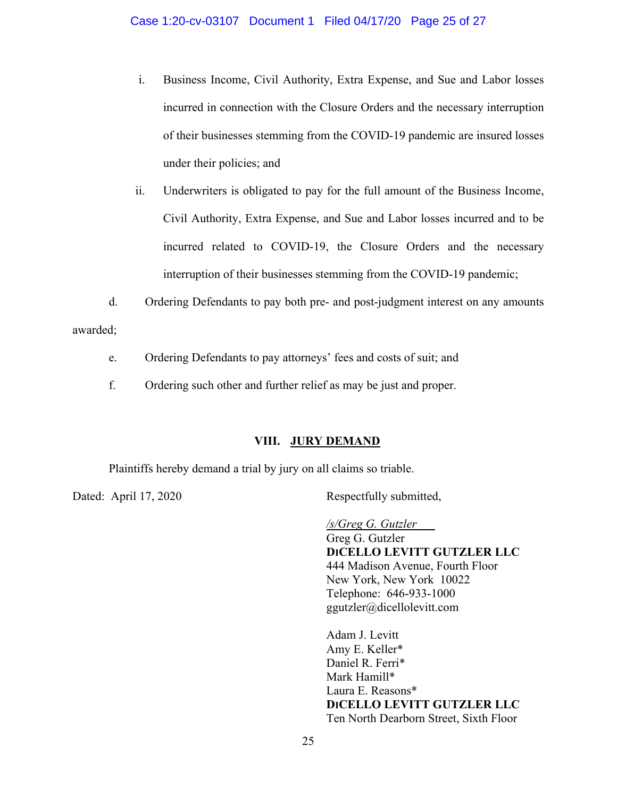- i. Business Income, Civil Authority, Extra Expense, and Sue and Labor losses incurred in connection with the Closure Orders and the necessary interruption of their businesses stemming from the COVID-19 pandemic are insured losses under their policies; and
- ii. Underwriters is obligated to pay for the full amount of the Business Income, Civil Authority, Extra Expense, and Sue and Labor losses incurred and to be incurred related to COVID-19, the Closure Orders and the necessary interruption of their businesses stemming from the COVID-19 pandemic;
- d. Ordering Defendants to pay both pre- and post-judgment interest on any amounts

awarded;

- e. Ordering Defendants to pay attorneys' fees and costs of suit; and
- f. Ordering such other and further relief as may be just and proper.

# **VIII. JURY DEMAND**

Plaintiffs hereby demand a trial by jury on all claims so triable.

Dated: April 17, 2020 Respectfully submitted,

*/s/Greg G. Gutzler*  Greg G. Gutzler **DICELLO LEVITT GUTZLER LLC**  444 Madison Avenue, Fourth Floor New York, New York 10022 Telephone: 646-933-1000 ggutzler@dicellolevitt.com

Adam J. Levitt Amy E. Keller\* Daniel R. Ferri\* Mark Hamill\* Laura E. Reasons\* **DICELLO LEVITT GUTZLER LLC**  Ten North Dearborn Street, Sixth Floor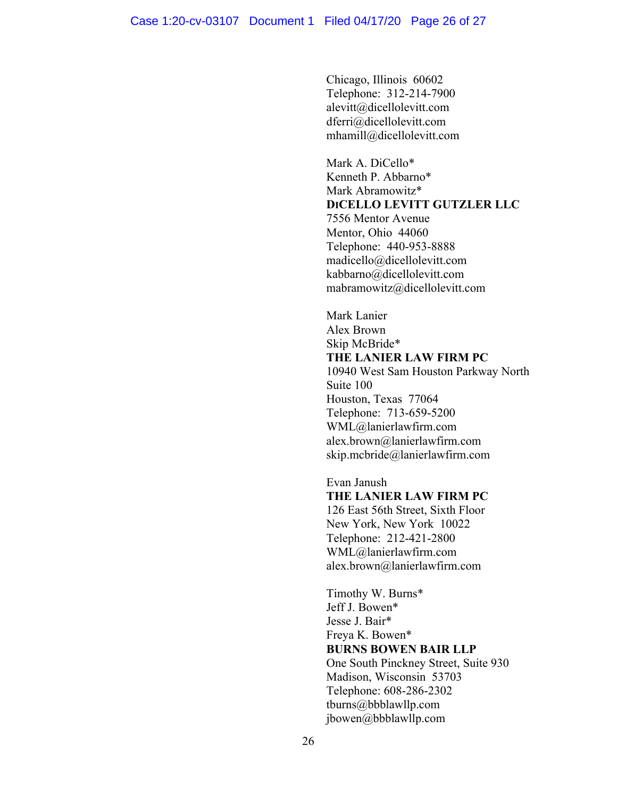Chicago, Illinois 60602 Telephone: 312-214-7900 alevitt@dicellolevitt.com dferri@dicellolevitt.com mhamill@dicellolevitt.com

Mark A. DiCello\* Kenneth P. Abbarno\* Mark Abramowitz\* **DICELLO LEVITT GUTZLER LLC**  7556 Mentor Avenue Mentor, Ohio 44060 Telephone: 440-953-8888 madicello@dicellolevitt.com kabbarno@dicellolevitt.com mabramowitz@dicellolevitt.com

 Mark Lanier Alex Brown Skip McBride\* **THE LANIER LAW FIRM PC**  10940 West Sam Houston Parkway North Suite 100

 Houston, Texas 77064 Telephone: 713-659-5200 WML@lanierlawfirm.com alex.brown@lanierlawfirm.com skip.mcbride@lanierlawfirm.com

Evan Janush **THE LANIER LAW FIRM PC**  126 East 56th Street, Sixth Floor New York, New York 10022 Telephone: 212-421-2800 WML@lanierlawfirm.com alex.brown@lanierlawfirm.com

Timothy W. Burns\* Jeff J. Bowen\* Jesse J. Bair\* Freya K. Bowen\* **BURNS BOWEN BAIR LLP**  One South Pinckney Street, Suite 930 Madison, Wisconsin 53703 Telephone: 608-286-2302 tburns@bbblawllp.com jbowen@bbblawllp.com